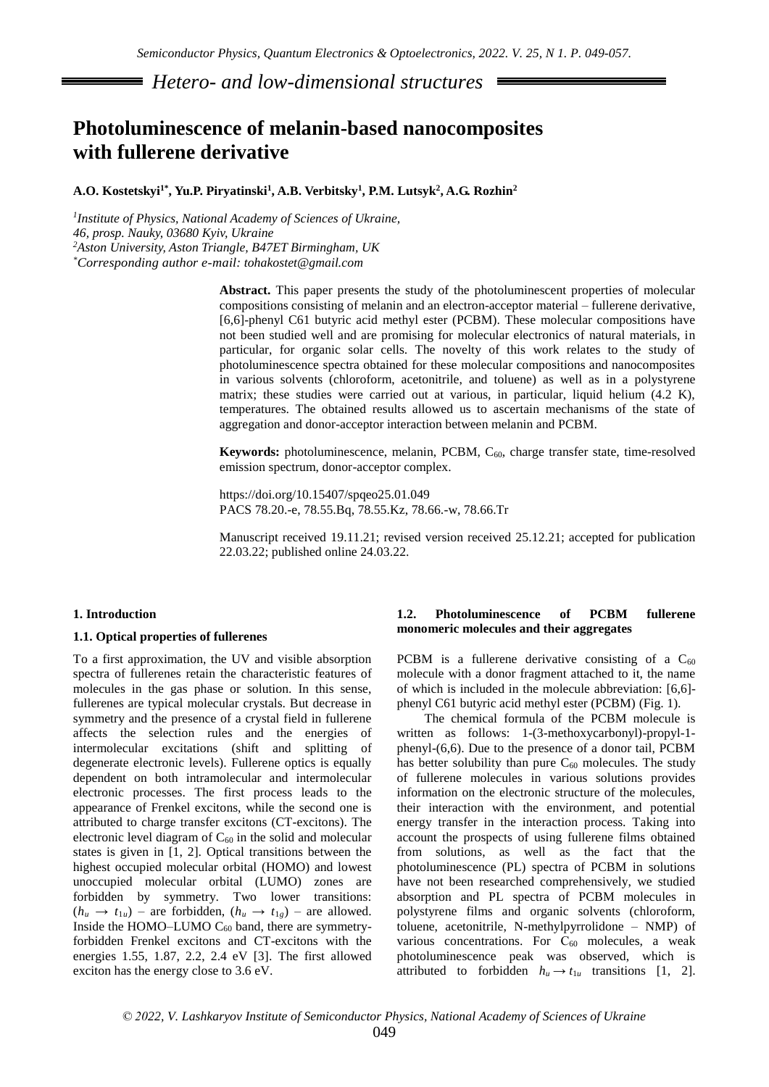*Hetero- and low-dimensional structures*

# **Photoluminescence of melanin-based nanocomposites with fullerene derivative**

## **A.O. Kostetskyi1\* , Yu.P. Piryatinski<sup>1</sup> , A.B. Verbitsky<sup>1</sup> , P.M. Lutsyk<sup>2</sup> , A.G. Rozhin<sup>2</sup>**

*1 Institute of Physics, National Academy of Sciences of Ukraine, 46, prosp. Nauky, 03680 Kyiv, Ukraine <sup>2</sup>Aston University, Aston Triangle, B47ET Birmingham, UK \*Corresponding author e-mail: [tohakostet@gmail.com](mailto:tohakostet@gmail.com)*

> **Abstract.** This paper presents the study of the photoluminescent properties of molecular compositions consisting of melanin and an electron-acceptor material – fullerene derivative, [6,6]-phenyl C61 butyric acid methyl ester (PCBM). These molecular compositions have not been studied well and are promising for molecular electronics of natural materials, in particular, for organic solar cells. The novelty of this work relates to the study of photoluminescence spectra obtained for these molecular compositions and nanocomposites in various solvents (chloroform, acetonitrile, and toluene) as well as in a polystyrene matrix; these studies were carried out at various, in particular, liquid helium (4.2 K), temperatures. The obtained results allowed us to ascertain mechanisms of the state of aggregation and donor-acceptor interaction between melanin and PCBM.

> **Keywords:** photoluminescence, melanin, PCBM, C<sub>60</sub>, charge transfer state, time-resolved emission spectrum, donor-acceptor complex.

https://doi.org/10.15407/spqeo25.01.049 PACS 78.20.-e, 78.55.Bq, 78.55.Kz, 78.66.-w, 78.66.Tr

Manuscript received 19.11.21; revised version received 25.12.21; accepted for publication 22.03.22; published online 24.03.22.

## **1. Introduction**

#### **1.1. Optical properties of fullerenes**

To a first approximation, the UV and visible absorption spectra of fullerenes retain the characteristic features of molecules in the gas phase or solution. In this sense, fullerenes are typical molecular crystals. But decrease in symmetry and the presence of a crystal field in fullerene affects the selection rules and the energies of intermolecular excitations (shift and splitting of degenerate electronic levels). Fullerene optics is equally dependent on both intramolecular and intermolecular electronic processes. The first process leads to the appearance of Frenkel excitons, while the second one is attributed to charge transfer excitons (CT-excitons). The electronic level diagram of  $C_{60}$  in the solid and molecular states is given in [1, 2]. Optical transitions between the highest occupied molecular orbital (HOMO) and lowest unoccupied molecular orbital (LUMO) zones are forbidden by symmetry. Two lower transitions:  $(h_u \rightarrow t_{1u})$  – are forbidden,  $(h_u \rightarrow t_{1g})$  – are allowed. Inside the HOMO–LUMO  $C_{60}$  band, there are symmetryforbidden Frenkel excitons and CT-excitons with the energies 1.55, 1.87, 2.2, 2.4 eV [3]. The first allowed exciton has the energy close to 3.6 eV.

# **1.2. Photoluminescence of PCBM fullerene monomeric molecules and their aggregates**

PCBM is a fullerene derivative consisting of a  $C_{60}$ molecule with a donor fragment attached to it, the name of which is included in the molecule abbreviation: [6,6] phenyl C61 butyric acid methyl ester (PCBM) (Fig. 1).

The chemical formula of the PCBM molecule is written as follows: 1-(3-methoxycarbonyl)-propyl-1 phenyl-(6,6). Due to the presence of a donor tail, PCBM has better solubility than pure  $C_{60}$  molecules. The study of fullerene molecules in various solutions provides information on the electronic structure of the molecules, their interaction with the environment, and potential energy transfer in the interaction process. Taking into account the prospects of using fullerene films obtained from solutions, as well as the fact that the photoluminescence (PL) spectra of PCBM in solutions have not been researched comprehensively, we studied absorption and PL spectra of PCBM molecules in polystyrene films and organic solvents (chloroform, toluene, acetonitrile, N-methylpyrrolidone – NMP) of various concentrations. For  $C_{60}$  molecules, a weak photoluminescence peak was observed, which is attributed to forbidden  $h_u \rightarrow t_{1u}$  transitions [1, 2].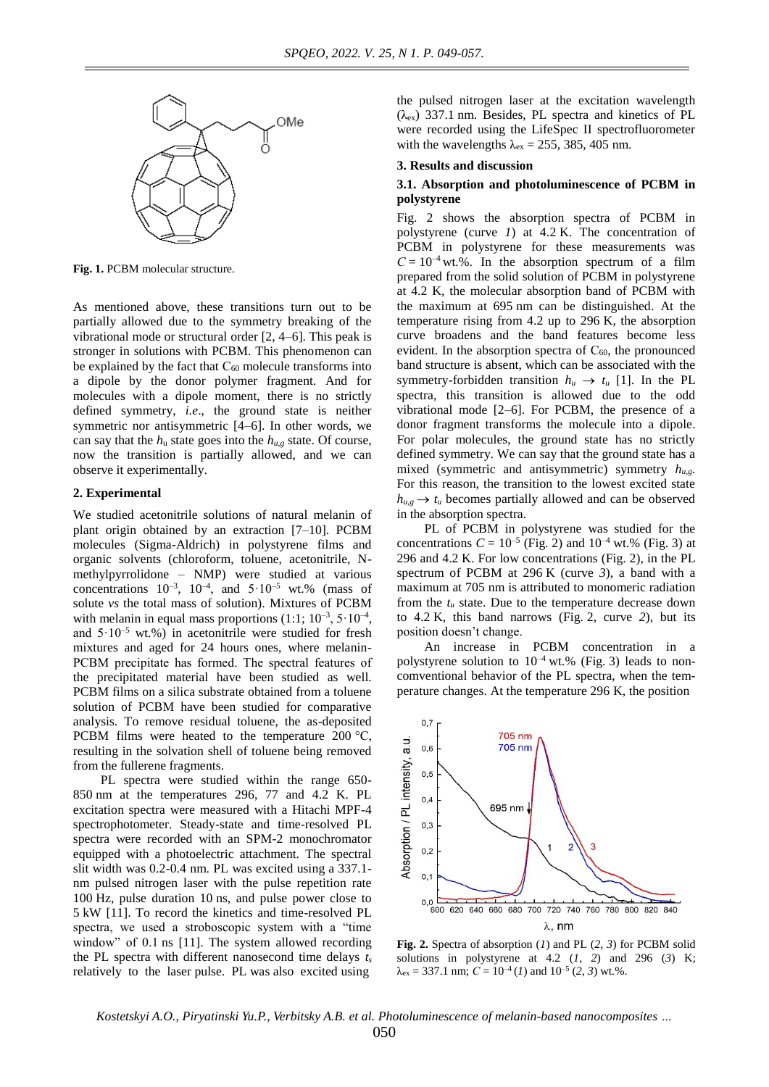

**Fig. 1.** PCBM molecular structure.

As mentioned above, these transitions turn out to be partially allowed due to the symmetry breaking of the vibrational mode or structural order [2, 4–6]. This peak is stronger in solutions with PCBM. This phenomenon can be explained by the fact that  $C_{60}$  molecule transforms into a dipole by the donor polymer fragment. And for molecules with a dipole moment, there is no strictly defined symmetry, *i.e*., the ground state is neither symmetric nor antisymmetric [4–6]. In other words, we can say that the  $h_u$  state goes into the  $h_{u,g}$  state. Of course, now the transition is partially allowed, and we can observe it experimentally.

## **2. Experimental**

We studied acetonitrile solutions of natural melanin of plant origin obtained by an extraction [7–10]. PCBM molecules (Sigma-Aldrich) in polystyrene films and organic solvents (chloroform, toluene, acetonitrile, Nmethylpyrrolidone – NMP) were studied at various concentrations  $10^{-3}$ ,  $10^{-4}$ , and  $5 \cdot 10^{-5}$  wt.% (mass of solute *vs* the total mass of solution). Mixtures of PCBM with melanin in equal mass proportions  $(1:1; 10^{-3}, 5 \cdot 10^{-4},$ and  $5.10^{-5}$  wt.%) in acetonitrile were studied for fresh mixtures and aged for 24 hours ones, where melanin-РСВМ precipitate has formed. The spectral features of the precipitated material have been studied as well. PCBM films on a silica substrate obtained from a toluene solution of PCBM have been studied for comparative analysis. To remove residual toluene, the as-deposited PCBM films were heated to the temperature 200 °C, resulting in the solvation shell of toluene being removed from the fullerene fragments.

PL spectra were studied within the range 650- 850 nm at the temperatures 296, 77 and 4.2 K. PL excitation spectra were measured with a Hitachi MPF-4 spectrophotometer. Steady-state and time-resolved PL spectra were recorded with an SPM-2 monochromator equipped with a photoelectric attachment. The spectral slit width was 0.2*-*0.4 nm. PL was excited using a 337.1 nm pulsed nitrogen laser with the pulse repetition rate 100 Hz, pulse duration 10 ns, and pulse power close to 5 kW [11]. To record the kinetics and time-resolved PL spectra, we used a stroboscopic system with a "time window" of 0.1 ns [11]. The system allowed recording the PL spectra with different nanosecond time delays *t<sup>s</sup>* relatively to the laser pulse. PL was also excited using

the pulsed nitrogen laser at the excitation wavelength  $(\lambda_{ex})$  337.1 nm. Besides, PL spectra and kinetics of PL were recorded using the LifeSpec II spectrofluorometer with the wavelengths  $\lambda_{ex} = 255$ , 385, 405 nm.

#### **3. Results and discussion**

## **3.1. Absorption and photoluminescence of PCBM in polystyrene**

Fig. 2 shows the absorption spectra of PCBM in polystyrene (curve *1*) at 4.2 K. The concentration of PCBM in polystyrene for these measurements was  $C = 10^{-4}$  wt.%. In the absorption spectrum of a film prepared from the solid solution of PCBM in polystyrene at 4.2 K, the molecular absorption band of PCBM with the maximum at 695 nm can be distinguished. At the temperature rising from 4.2 up to 296 K, the absorption curve broadens and the band features become less evident. In the absorption spectra of  $C_{60}$ , the pronounced band structure is absent, which can be associated with the symmetry-forbidden transition  $h_u \rightarrow t_u$  [1]. In the PL spectra, this transition is allowed due to the odd vibrational mode [2–6]. For PCBM, the presence of a donor fragment transforms the molecule into a dipole. For polar molecules, the ground state has no strictly defined symmetry. We can say that the ground state has a mixed (symmetric and antisymmetric) symmetry *hu,g*. For this reason, the transition to the lowest excited state  $h_{u,g} \rightarrow t_u$  becomes partially allowed and can be observed in the absorption spectra.

PL of PCBM in polystyrene was studied for the concentrations  $C = 10^{-5}$  (Fig. 2) and  $10^{-4}$  wt.% (Fig. 3) at 296 and 4.2 K. For low concentrations (Fig. 2), in the PL spectrum of PCBM at 296 K (curve *3*), a band with a maximum at 705 nm is attributed to monomeric radiation from the  $t<sub>u</sub>$  state. Due to the temperature decrease down to 4.2 K, this band narrows (Fig. 2, curve *2*), but its position doesn't change.

An increase in PCBM concentration in a polystyrene solution to 10*–*<sup>4</sup> wt.% (Fig. 3) leads to noncomventional behavior of the PL spectra, when the temperature changes. At the temperature 296 K, the position



**Fig. 2.** Spectra of absorption (*1*) and PL (*2*, *3*) for PCBM solid solutions in polystyrene at 4.2 (*1*, *2*) and 296 (*3*) K;  $\lambda_{\text{ex}} = 337.1 \text{ nm}$ ;  $C = 10^{-4}$  (*I*) and  $10^{-5}$  (*2*, *3*) wt.%.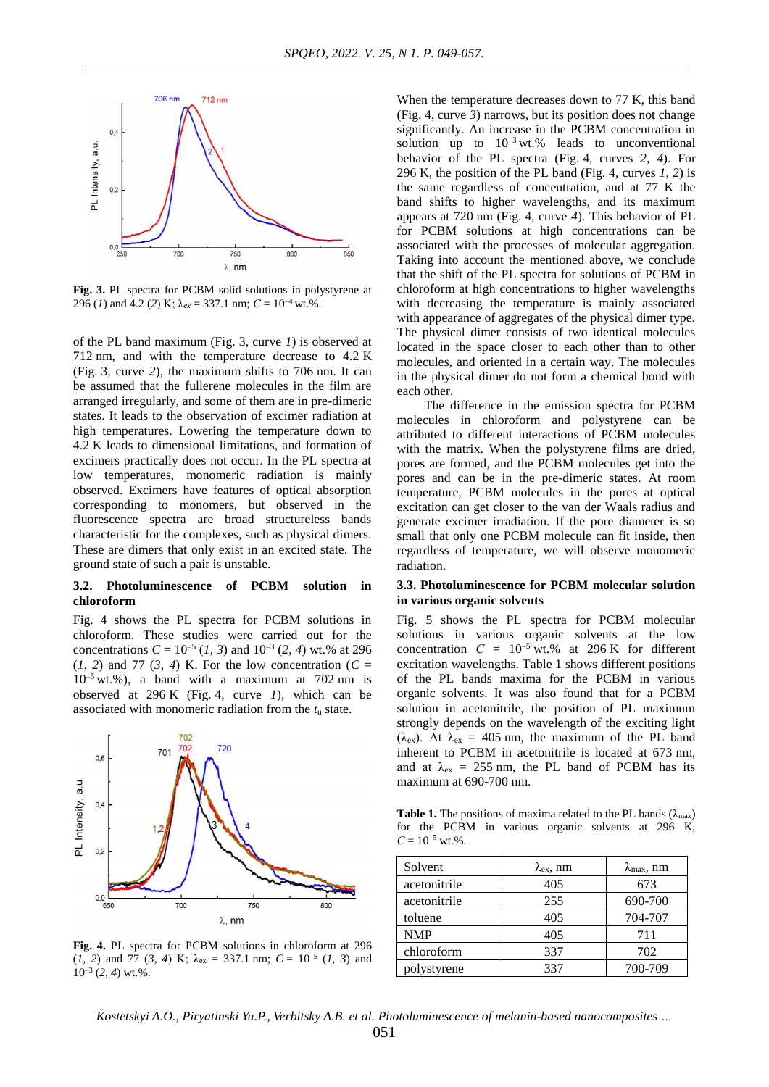

**Fig. 3.** PL spectra for PCBM solid solutions in polystyrene at 296 (*I*) and 4.2 (2) K;  $\lambda_{ex} = 337.1$  nm;  $C = 10^{-4}$  wt.%.

of the PL band maximum (Fig. 3, curve *1*) is observed at 712 nm, and with the temperature decrease to 4.2 K (Fig. 3, curve *2*), the maximum shifts to 706 nm. It can be assumed that the fullerene molecules in the film are arranged irregularly, and some of them are in pre-dimeric states. It leads to the observation of excimer radiation at high temperatures. Lowering the temperature down to 4.2 K leads to dimensional limitations, and formation of excimers practically does not occur. In the PL spectra at low temperatures, monomeric radiation is mainly observed. Excimers have features of optical absorption corresponding to monomers, but observed in the fluorescence spectra are broad structureless bands characteristic for the complexes, such as physical dimers. These are dimers that only exist in an excited state. The ground state of such a pair is unstable.

## **3.2. Photoluminescence of PCBM solution in chloroform**

Fig. 4 shows the PL spectra for PCBM solutions in chloroform. These studies were carried out for the concentrations  $C = 10^{-5} (1, 3)$  and  $10^{-3} (2, 4)$  wt.% at 296  $(1, 2)$  and 77  $(3, 4)$  K. For the low concentration  $(C =$ 10*–*<sup>5</sup> wt.%), a band with a maximum at 702 nm is observed at 296 K (Fig. 4, curve *1*), which can be associated with monomeric radiation from the *t*<sup>u</sup> state.



**Fig. 4.** PL spectra for PCBM solutions in chloroform at 296  $(1, 2)$  and 77  $(3, 4)$  K;  $\lambda_{\text{ex}} = 337.1$  nm;  $C = 10^{-5}$   $(1, 3)$  and 10*–*<sup>3</sup> (*2*, *4*) wt.%.

When the temperature decreases down to 77 K, this band (Fig. 4, curve *3*) narrows, but its position does not change significantly. An increase in the PCBM concentration in solution up to  $10^{-3}$  wt.% leads to unconventional behavior of the PL spectra (Fig. 4, curves *2*, *4*). For 296 K, the position of the PL band (Fig. 4, curves *1*, *2*) is the same regardless of concentration, and at 77 K the band shifts to higher wavelengths, and its maximum appears at 720 nm (Fig. 4, curve *4*). This behavior of PL for PCBM solutions at high concentrations can be associated with the processes of molecular aggregation. Taking into account the mentioned above, we conclude that the shift of the PL spectra for solutions of PCBM in chloroform at high concentrations to higher wavelengths with decreasing the temperature is mainly associated with appearance of aggregates of the physical dimer type. The physical dimer consists of two identical molecules located in the space closer to each other than to other molecules, and oriented in a certain way. The molecules in the physical dimer do not form a chemical bond with each other.

The difference in the emission spectra for PCBM molecules in chloroform and polystyrene can be attributed to different interactions of PCBM molecules with the matrix. When the polystyrene films are dried, pores are formed, and the PCBM molecules get into the pores and can be in the pre-dimeric states. At room temperature, PCBM molecules in the pores at optical excitation can get closer to the van der Waals radius and generate excimer irradiation. If the pore diameter is so small that only one PCBM molecule can fit inside, then regardless of temperature, we will observe monomeric radiation.

## **3.3. Photoluminescence for PCBM molecular solution in various organic solvents**

Fig. 5 shows the PL spectra for PCBM molecular solutions in various organic solvents at the low concentration  $C = 10^{-5}$  wt.% at 296 K for different excitation wavelengths. Table 1 shows different positions of the PL bands maxima for the PCBM in various organic solvents. It was also found that for a PCBM solution in acetonitrile, the position of PL maximum strongly depends on the wavelength of the exciting light ( $\lambda_{\rm ex}$ ). At  $\lambda_{\rm ex} = 405$  nm, the maximum of the PL band inherent to PCBM in acetonitrile is located at 673 nm, and at  $\lambda_{\rm ex}$  = 255 nm, the PL band of PCBM has its maximum at 690-700 nm.

**Table 1.** The positions of maxima related to the PL bands ( $\lambda_{\text{max}}$ ) for the PCBM in various organic solvents at 296 K,  $C = 10^{-5}$  wt.%.

| Solvent      | $\lambda_{\rm ex}$ , nm | $\lambda_{\text{max}}$ , nm |
|--------------|-------------------------|-----------------------------|
| acetonitrile | 405                     | 673                         |
| acetonitrile | 255                     | 690-700                     |
| toluene      | 405                     | 704-707                     |
| <b>NMP</b>   | 405                     | 711                         |
| chloroform   | 337                     | 702                         |
| polystyrene  | 337                     | 700-709                     |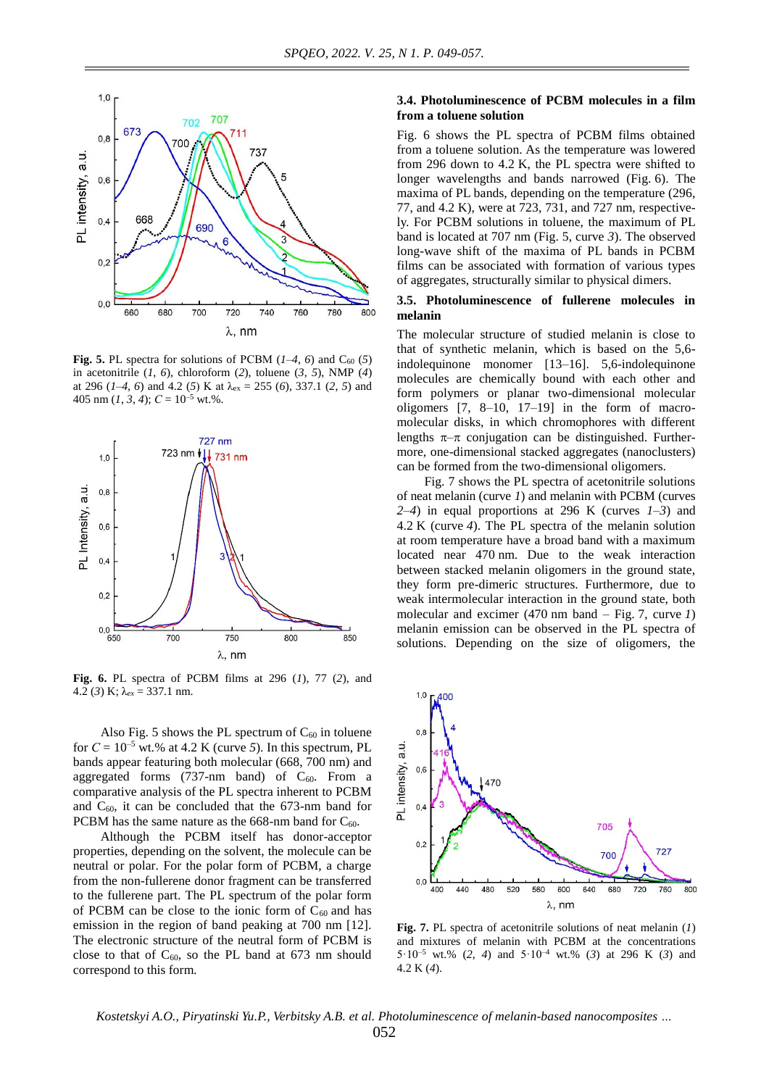

**Fig. 5.** PL spectra for solutions of PCBM  $(1-4, 6)$  and C<sub>60</sub> (5) in acetonitrile (*1*, *6*), chloroform (*2*), toluene (*3*, *5*), NMP (*4*) at 296 (*1–4*, *6*) and 4.2 (*5*) K at λex = 255 (*6*), 337.1 (*2*, *5*) and 405 nm  $(I, 3, 4)$ ;  $C = 10^{-5}$  wt.%.



**Fig. 6.** PL spectra of PCBM films at 296 (*1*), 77 (*2*), and 4.2 (*3*) K; λ*ex* = 337.1 nm.

Also Fig. 5 shows the PL spectrum of  $C_{60}$  in toluene for  $C = 10^{-5}$  wt.% at 4.2 K (curve 5). In this spectrum, PL bands appear featuring both molecular (668, 700 nm) and aggregated forms (737-nm band) of  $C_{60}$ . From a comparative analysis of the PL spectra inherent to PCBM and  $C_{60}$ , it can be concluded that the 673-nm band for PCBM has the same nature as the 668-nm band for  $C_{60}$ .

Although the PCBM itself has donor-acceptor properties, depending on the solvent, the molecule can be neutral or polar. For the polar form of PCBM, a charge from the non-fullerene donor fragment can be transferred to the fullerene part. The PL spectrum of the polar form of PCBM can be close to the ionic form of  $C_{60}$  and has emission in the region of band peaking at 700 nm [12]. The electronic structure of the neutral form of PCBM is close to that of  $C_{60}$ , so the PL band at 673 nm should correspond to this form.

## **3.4. Photoluminescence of PCBM molecules in a film from a toluene solution**

Fig. 6 shows the PL spectra of PCBM films obtained from a toluene solution. As the temperature was lowered from 296 down to 4.2 K, the PL spectra were shifted to longer wavelengths and bands narrowed (Fig. 6). The maxima of PL bands, depending on the temperature (296, 77, and 4.2 K), were at 723, 731, and 727 nm, respectively. For PCBM solutions in toluene, the maximum of PL band is located at 707 nm (Fig. 5, curve *3*). The observed long-wave shift of the maxima of PL bands in PCBM films can be associated with formation of various types of aggregates, structurally similar to physical dimers.

## **3.5. Photoluminescence of fullerene molecules in melanin**

The molecular structure of studied melanin is close to that of synthetic melanin, which is based on the 5,6 indolequinone monomer [13–16]. 5,6-indolequinone molecules are chemically bound with each other and form polymers or planar two-dimensional molecular oligomers  $[7, 8-10, 17-19]$  in the form of macromolecular disks, in which chromophores with different lengths  $\pi-\pi$  conjugation can be distinguished. Furthermore, one-dimensional stacked aggregates (nanoclusters) can be formed from the two-dimensional oligomers.

Fig. 7 shows the PL spectra of acetonitrile solutions of neat melanin (curve *1*) and melanin with PCBM (curves *2–4*) in equal proportions at 296 K (curves *1–3*) and 4.2 K (curve *4*). The PL spectra of the melanin solution at room temperature have a broad band with a maximum located near 470 nm. Due to the weak interaction between stacked melanin oligomers in the ground state, they form pre-dimeric structures. Furthermore, due to weak intermolecular interaction in the ground state, both molecular and excimer (470 nm band – Fig. 7, curve *1*) melanin emission can be observed in the PL spectra of solutions. Depending on the size of oligomers, the



**Fig. 7.** PL spectra of acetonitrile solutions of neat melanin (*1*) and mixtures of melanin with PCBM at the concentrations 5·10–5 wt.% (*2*, *4*) and 5·10–4 wt.% (*3*) at 296 K (*3*) and 4.2 K (*4*).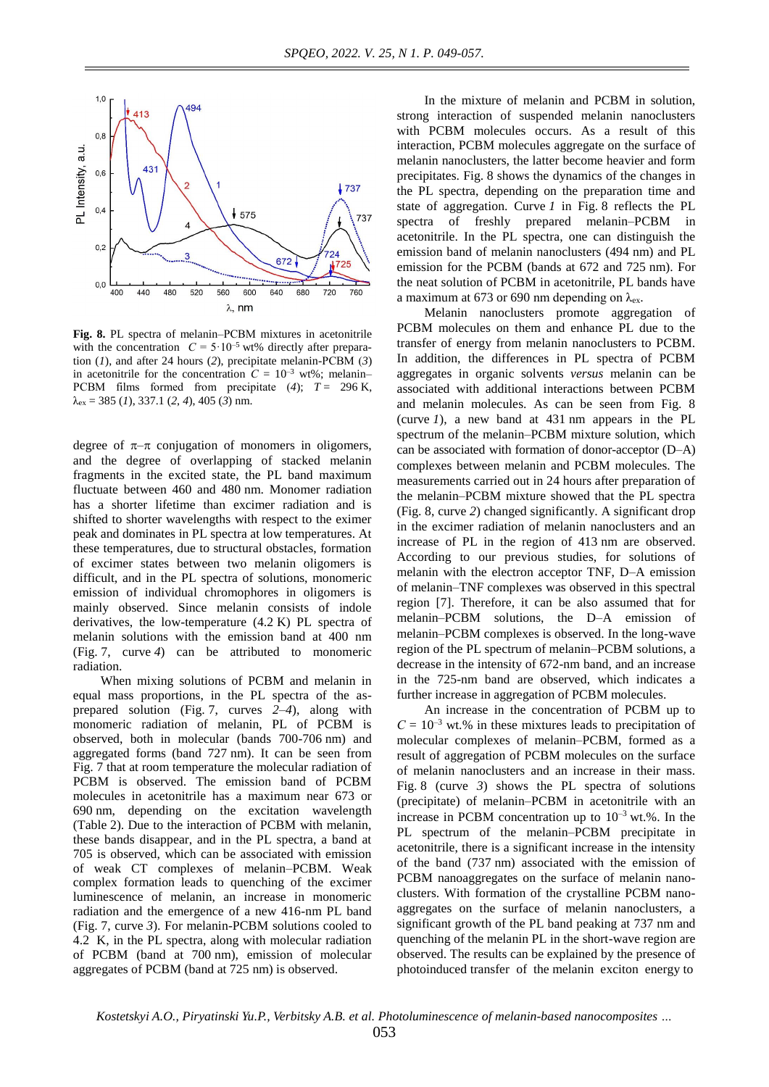

**Fig. 8.** PL spectra of melanin–РСВМ mixtures in acetonitrile with the concentration  $C = 5.10^{-5}$  wt% directly after preparation (*1*), and after 24 hours (*2*), precipitate melanin-РСВМ (*3*) in acetonitrile for the concentration  $C = 10^{-3}$  wt%; melanin– PCBM films formed from precipitate  $(4)$ ;  $T = 296$  K, λex = 385 (*1*), 337.1 (*2*, *4*), 405 (*3*) nm.

degree of  $\pi-\pi$  conjugation of monomers in oligomers, and the degree of overlapping of stacked melanin fragments in the excited state, the PL band maximum fluctuate between 460 and 480 nm. Monomer radiation has a shorter lifetime than excimer radiation and is shifted to shorter wavelengths with respect to the eximer peak and dominates in PL spectra at low temperatures. At these temperatures, due to structural obstacles, formation of excimer states between two melanin oligomers is difficult, and in the PL spectra of solutions, monomeric emission of individual chromophores in oligomers is mainly observed. Since melanin consists of indole derivatives, the low-temperature (4.2 K) PL spectra of melanin solutions with the emission band at 400 nm (Fig. 7, curve *4*) can be attributed to monomeric radiation.

When mixing solutions of PCBM and melanin in equal mass proportions, in the PL spectra of the asprepared solution (Fig. 7, curves *2–4*), along with monomeric radiation of melanin, PL of PCBM is observed, both in molecular (bands 700-706 nm) and aggregated forms (band 727 nm). It can be seen from Fig. 7 that at room temperature the molecular radiation of PCBM is observed. The emission band of PCBM molecules in acetonitrile has a maximum near 673 or 690 nm, depending on the excitation wavelength (Table 2). Due to the interaction of PCBM with melanin, these bands disappear, and in the PL spectra, a band at 705 is observed, which can be associated with emission of weak CT complexes of melanin–PCBM. Weak complex formation leads to quenching of the excimer luminescence of melanin, an increase in monomeric radiation and the emergence of a new 416-nm PL band (Fig. 7, curve *3*). For melanin-PCBM solutions cooled to 4.2 K, in the PL spectra, along with molecular radiation of PCBM (band at 700 nm), emission of molecular aggregates of PCBM (band at 725 nm) is observed.

In the mixture of melanin and PCBM in solution, strong interaction of suspended melanin nanoclusters with PCBM molecules occurs. As a result of this interaction, PCBM molecules aggregate on the surface of melanin nanoclusters, the latter become heavier and form precipitates. Fig. 8 shows the dynamics of the changes in the PL spectra, depending on the preparation time and state of aggregation. Curve *1* in Fig. 8 reflects the PL spectra of freshly prepared melanin–PCBM in acetonitrile. In the PL spectra, one can distinguish the emission band of melanin nanoclusters (494 nm) and PL emission for the PCBM (bands at 672 and 725 nm). For the neat solution of PCBM in acetonitrile, PL bands have a maximum at 673 or 690 nm depending on  $\lambda_{ex}$ .

Melanin nanoclusters promote aggregation of PCBM molecules on them and enhance PL due to the transfer of energy from melanin nanoclusters to PCBM. In addition, the differences in PL spectra of PCBM aggregates in organic solvents *versus* melanin can be associated with additional interactions between PCBM and melanin molecules. As can be seen from Fig. 8 (curve *1*), a new band at 431 nm appears in the PL spectrum of the melanin–PCBM mixture solution, which can be associated with formation of donor-acceptor (D–A) complexes between melanin and PCBM molecules. The measurements carried out in 24 hours after preparation of the melanin–PCBM mixture showed that the PL spectra (Fig. 8, curve *2*) changed significantly. A significant drop in the excimer radiation of melanin nanoclusters and an increase of PL in the region of 413 nm are observed. According to our previous studies, for solutions of melanin with the electron acceptor TNF, D–A emission of melanin–TNF complexes was observed in this spectral region [7]. Therefore, it can be also assumed that for melanin–PCBM solutions, the D–A emission of melanin–PCBM complexes is observed. In the long-wave region of the PL spectrum of melanin–PCBM solutions, a decrease in the intensity of 672-nm band, and an increase in the 725-nm band are observed, which indicates a further increase in aggregation of PCBM molecules.

An increase in the concentration of PCBM up to  $C = 10^{-3}$  wt.% in these mixtures leads to precipitation of molecular complexes of melanin–PCBM, formed as a result of aggregation of PCBM molecules on the surface of melanin nanoclusters and an increase in their mass. Fig. 8 (curve *3*) shows the PL spectra of solutions (precipitate) of melanin–PCBM in acetonitrile with an increase in PCBM concentration up to  $10^{-3}$  wt.%. In the PL spectrum of the melanin–PCBM precipitate in acetonitrile, there is a significant increase in the intensity of the band (737 nm) associated with the emission of PCBM nanoaggregates on the surface of melanin nanoclusters. With formation of the crystalline PCBM nanoaggregates on the surface of melanin nanoclusters, a significant growth of the PL band peaking at 737 nm and quenching of the melanin PL in the short-wave region are observed. The results can be explained by the presence of photoinduced transfer of the melanin exciton energy to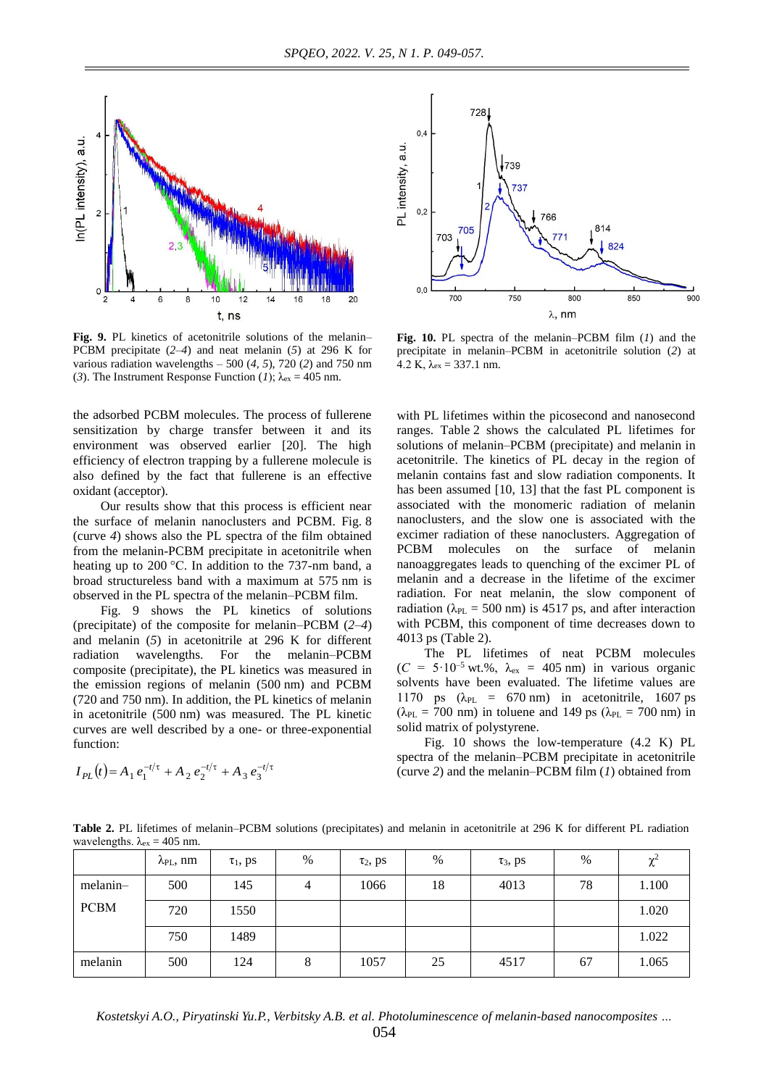

**Fig. 9.** PL kinetics of acetonitrile solutions of the melanin– PCBM precipitate (*2–4*) and neat melanin (*5*) at 296 K for various radiation wavelengths – 500 (*4*, *5*), 720 (*2*) and 750 nm (3). The Instrument Response Function (*1*);  $\lambda_{\text{ex}} = 405$  nm.

the adsorbed PCBM molecules. The process of fullerene sensitization by charge transfer between it and its environment was observed earlier [20]. The high efficiency of electron trapping by a fullerene molecule is also defined by the fact that fullerene is an effective oxidant (acceptor).

Our results show that this process is efficient near the surface of melanin nanoclusters and PCBM. Fig. 8 (curve *4*) shows also the PL spectra of the film obtained from the melanin-PCBM precipitate in acetonitrile when heating up to 200 °C. In addition to the 737-nm band, a broad structureless band with a maximum at 575 nm is observed in the PL spectra of the melanin–PCBM film.

Fig. 9 shows the PL kinetics of solutions (precipitate) of the composite for melanin–PCBM (*2–4*) and melanin (*5*) in acetonitrile at 296 K for different radiation wavelengths. For the melanin–PCBM composite (precipitate), the PL kinetics was measured in the emission regions of melanin (500 nm) and PCBM (720 and 750 nm). In addition, the PL kinetics of melanin in acetonitrile (500 nm) was measured. The PL kinetic curves are well described by a one- or three-exponential function:

$$
I_{PL}(t) = A_1 e_1^{-t/\tau} + A_2 e_2^{-t/\tau} + A_3 e_3^{-t/\tau}
$$



**Fig. 10.** PL spectra of the melanin–PCBM film (*1*) and the precipitate in melanin–PCBM in acetonitrile solution (*2*) at 4.2 K,  $\lambda_{ex} = 337.1$  nm.

with PL lifetimes within the picosecond and nanosecond ranges. Table 2 shows the calculated PL lifetimes for solutions of melanin–PCBM (precipitate) and melanin in acetonitrile. The kinetics of PL decay in the region of melanin contains fast and slow radiation components. It has been assumed [10, 13] that the fast PL component is associated with the monomeric radiation of melanin nanoclusters, and the slow one is associated with the excimer radiation of these nanoclusters. Aggregation of PCBM molecules on the surface of melanin nanoaggregates leads to quenching of the excimer PL of melanin and a decrease in the lifetime of the excimer radiation. For neat melanin, the slow component of radiation ( $\lambda_{PL}$  = 500 nm) is 4517 ps, and after interaction with PCBM, this component of time decreases down to 4013 ps (Table 2).

The PL lifetimes of neat PCBM molecules  $(C = 5.10^{-5}$  wt.%,  $\lambda_{ex} = 405$  nm) in various organic solvents have been evaluated. The lifetime values are 1170 ps  $(\lambda_{PL} = 670 \text{ nm})$  in acetonitrile, 1607 ps ( $\lambda_{PL}$  = 700 nm) in toluene and 149 ps ( $\lambda_{PL}$  = 700 nm) in solid matrix of polystyrene.

Fig. 10 shows the low-temperature (4.2 K) PL spectra of the melanin–PCBM precipitate in acetonitrile (curve *2*) and the melanin–PCBM film (*1*) obtained from

**Table 2.** PL lifetimes of melanin–PCBM solutions (precipitates) and melanin in acetonitrile at 296 K for different PL radiation wavelengths.  $\lambda_{ex} = 405$  nm.

|             | $\lambda_{\text{PL}}$ , nm | $\tau_1$ , ps | $\%$ | $\tau_2$ , ps | $\%$ | $\tau_3$ , ps | %  | $\chi^2$ |
|-------------|----------------------------|---------------|------|---------------|------|---------------|----|----------|
| melanin-    | 500                        | 145           | 4    | 1066          | 18   | 4013          | 78 | 1.100    |
| <b>PCBM</b> | 720                        | 1550          |      |               |      |               |    | 1.020    |
|             | 750                        | 1489          |      |               |      |               |    | 1.022    |
| melanin     | 500                        | 124           | 8    | 1057          | 25   | 4517          | 67 | 1.065    |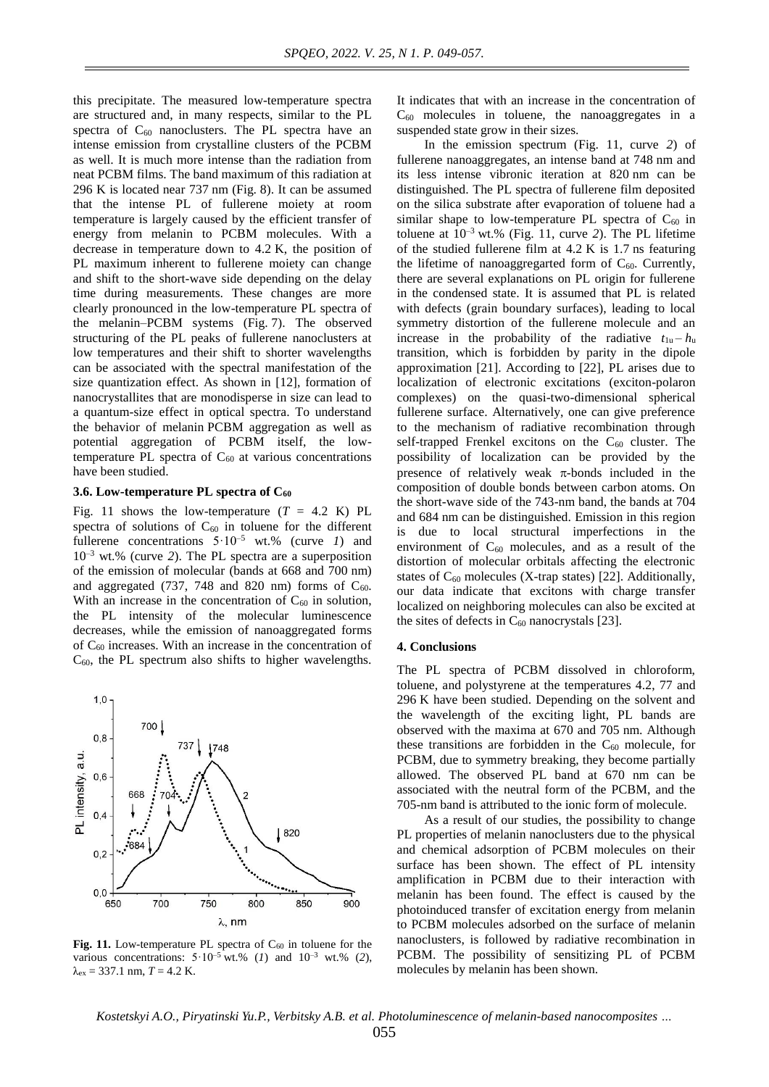this precipitate. The measured low-temperature spectra are structured and, in many respects, similar to the PL spectra of  $C_{60}$  nanoclusters. The PL spectra have an intense emission from crystalline clusters of the PCBM as well. It is much more intense than the radiation from neat PCBM films. The band maximum of this radiation at 296 K is located near 737 nm (Fig. 8). It can be assumed that the intense PL of fullerene moiety at room temperature is largely caused by the efficient transfer of energy from melanin to PCBM molecules. With a decrease in temperature down to 4.2 K, the position of PL maximum inherent to fullerene moiety can change and shift to the short-wave side depending on the delay time during measurements. These changes are more clearly pronounced in the low-temperature PL spectra of the melanin–PCBM systems (Fig. 7). The observed structuring of the PL peaks of fullerene nanoclusters at low temperatures and their shift to shorter wavelengths can be associated with the spectral manifestation of the size quantization effect. As shown in [12], formation of nanocrystallites that are monodisperse in size can lead to a quantum-size effect in optical spectra. To understand the behavior of melanin PCBM aggregation as well as potential aggregation of PCBM itself, the lowtemperature PL spectra of  $C_{60}$  at various concentrations have been studied.

#### **3.6. Low-temperature PL spectra of C<sup>60</sup>**

Fig. 11 shows the low-temperature  $(T = 4.2 \text{ K})$  PL spectra of solutions of  $C_{60}$  in toluene for the different fullerene concentrations  $5.10^{-5}$  wt.% (curve *1*) and 10–3 wt.% (curve *2*). The PL spectra are a superposition of the emission of molecular (bands at 668 and 700 nm) and aggregated (737, 748 and 820 nm) forms of  $C_{60}$ . With an increase in the concentration of  $C_{60}$  in solution, the PL intensity of the molecular luminescence decreases, while the emission of nanoaggregated forms of C<sup>60</sup> increases. With an increase in the concentration of  $C_{60}$ , the PL spectrum also shifts to higher wavelengths.



Fig. 11. Low-temperature PL spectra of C<sub>60</sub> in toluene for the various concentrations:  $5.10^{-5}$  wt.% (*1*) and  $10^{-3}$  wt.% (*2*),  $\lambda_{\rm ex}$  = 337.1 nm, *T* = 4.2 K.

It indicates that with an increase in the concentration of  $C_{60}$  molecules in toluene, the nanoaggregates in a suspended state grow in their sizes.

In the emission spectrum (Fig. 11, curve *2*) of fullerene nanoaggregates, an intense band at 748 nm and its less intense vibronic iteration at 820 nm can be distinguished. The PL spectra of fullerene film deposited on the silica substrate after evaporation of toluene had a similar shape to low-temperature PL spectra of  $C_{60}$  in toluene at 10 –3 wt.% (Fig. 11, curve *2*). The PL lifetime of the studied fullerene film at 4.2 K is 1.7 ns featuring the lifetime of nanoaggregarted form of  $C_{60}$ . Currently, there are several explanations on PL origin for fullerene in the condensed state. It is assumed that PL is related with defects (grain boundary surfaces), leading to local symmetry distortion of the fullerene molecule and an increase in the probability of the radiative  $t_{1u} - h_u$ transition, which is forbidden by parity in the dipole approximation [21]. According to [22], PL arises due to localization of electronic excitations (exciton-polaron complexes) on the quasi-two-dimensional spherical fullerene surface. Alternatively, one can give preference to the mechanism of radiative recombination through self-trapped Frenkel excitons on the  $C_{60}$  cluster. The possibility of localization can be provided by the presence of relatively weak  $\pi$ -bonds included in the composition of double bonds between carbon atoms. On the short-wave side of the 743-nm band, the bands at 704 and 684 nm can be distinguished. Emission in this region is due to local structural imperfections in the environment of  $C_{60}$  molecules, and as a result of the distortion of molecular orbitals affecting the electronic states of  $C_{60}$  molecules (X-trap states) [22]. Additionally, our data indicate that excitons with charge transfer localized on neighboring molecules can also be excited at the sites of defects in  $C_{60}$  nanocrystals [23].

#### **4. Conclusions**

The PL spectra of PCBM dissolved in chloroform, toluene, and polystyrene at the temperatures 4.2, 77 and 296 K have been studied. Depending on the solvent and the wavelength of the exciting light, PL bands are observed with the maxima at 670 and 705 nm. Although these transitions are forbidden in the  $C_{60}$  molecule, for PCBM, due to symmetry breaking, they become partially allowed. The observed PL band at 670 nm can be associated with the neutral form of the PCBM, and the 705-nm band is attributed to the ionic form of molecule.

As a result of our studies, the possibility to change PL properties of melanin nanoclusters due to the physical and chemical adsorption of PCBM molecules on their surface has been shown. The effect of PL intensity amplification in PCBM due to their interaction with melanin has been found. The effect is caused by the photoinduced transfer of excitation energy from melanin to PCBM molecules adsorbed on the surface of melanin nanoclusters, is followed by radiative recombination in PCBM. The possibility of sensitizing PL of PCBM molecules by melanin has been shown.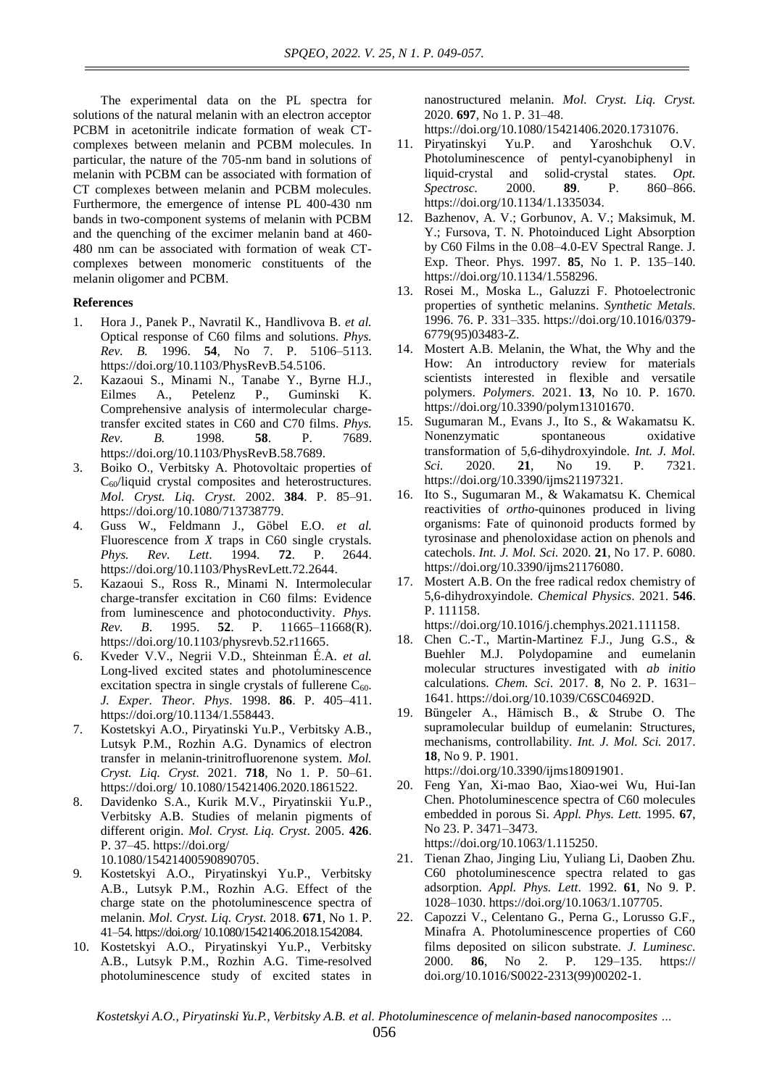The experimental data on the PL spectra for solutions of the natural melanin with an electron acceptor PCBM in acetonitrile indicate formation of weak CTcomplexes between melanin and PCBM molecules. In particular, the nature of the 705-nm band in solutions of melanin with PCBM can be associated with formation of CT complexes between melanin and PCBM molecules. Furthermore, the emergence of intense PL 400-430 nm bands in two-component systems of melanin with PCBM and the quenching of the excimer melanin band at 460- 480 nm can be associated with formation of weak CTcomplexes between monomeric constituents of the melanin oligomer and PCBM.

## **References**

- 1. Hora J., Panek P., Navratil K., Handlivova B. *et al.*  Optical response of C60 films and solutions. *Phys. Rev. B.* 1996. **54**, No 7. P. 5106–5113. [https://doi.org/10.1103/PhysRevB.54.5106.](https://doi.org/10.1103/PhysRevB.54.5106)
- 2. Kazaoui S., Minami N., Tanabe Y., Byrne H.J., Eilmes A., Petelenz P., Guminski K. Comprehensive analysis of intermolecular chargetransfer excited states in C60 and C70 films. *Phys. Rev. B.* 1998. **58**. P. 7689. https://doi.org/10.1103/PhysRevB.58.7689.
- 3. Boiko O., Verbitsky A. [Photovoltaic properties of](https://scholar.google.com.ua/citations?view_op=view_citation&hl=ru&user=m1DOu5AAAAAJ&alert_preview_top_rm=2&citation_for_view=m1DOu5AAAAAJ:qjMakFHDy7sC)  C<sub>60</sub>[/liquid crystal composites and heterostructures.](https://scholar.google.com.ua/citations?view_op=view_citation&hl=ru&user=m1DOu5AAAAAJ&alert_preview_top_rm=2&citation_for_view=m1DOu5AAAAAJ:qjMakFHDy7sC) *Mol. Cryst. Liq. Cryst.* 2002. **384**. P. 85–91. [https://doi.org/10.1080/713738779.](https://doi.org/10.1080/713738779)
- 4. Guss W., Feldmann J., Göbel E.O. *et al.* Fluorescence from *X* traps in C60 single crystals. *Phys. Rev. Lett*. 1994. **72**. P. 2644. https://doi.org/10.1103/PhysRevLett.72.2644.
- 5. Kazaoui S., Ross R., Minami N. [Intermolecular](https://journals.aps.org/prb/abstract/10.1103/PhysRevB.52.R11665)  [charge-transfer excitation in C60](https://journals.aps.org/prb/abstract/10.1103/PhysRevB.52.R11665) films: Evidence [from luminescence and photoconductivity.](https://journals.aps.org/prb/abstract/10.1103/PhysRevB.52.R11665) *Phys. Rev. B*. 1995. **52**. P. 11665–11668(R). https://doi.org[/10.1103/physrevb.52.r11665.](https://doi.org/10.1103/physrevb.52.r11665)
- 6. [Kveder](https://link.springer.com/article/10.1134/1.558443#auth-V__V_-Kveder) V.V., [Negrii](https://link.springer.com/article/10.1134/1.558443#auth-V__D_-Negrii) V.D., [Shteinman](https://link.springer.com/article/10.1134/1.558443#auth-___A_-Shteinman) É.A. *et al.*  [Long-lived excited states and photoluminescence](https://link.springer.com/article/10.1134/1.558443) excitation spectra in single crystals of fullerene  $C_{60}$ . *J. Exper. Theor. Phys*. 1998. **86**. P. 405–411. [https://doi.org/10.1134/1.558443.](https://doi.org/10.1134/1.558443)
- 7. Kostetskyi A.O., Piryatinski Yu.P., Verbitsky A.B., Lutsyk P.M., Rozhin A.G. Dynamics of electron transfer in melanin-trinitrofluorenone system. *Mol. Cryst. Liq. Cryst.* 2021. **718**, No 1. P. 50–61. <https://doi.org/> 10.1080/15421406.2020.1861522.
- 8. Davidenko S.A., Kurik M.V., Piryatinskii Yu.P., Verbitsky A.B. [Studies of melanin pigments of](https://scholar.google.com.ua/citations?view_op=view_citation&hl=ru&user=m1DOu5AAAAAJ&alert_preview_top_rm=2&citation_for_view=m1DOu5AAAAAJ:UeHWp8X0CEIC)  [different origin.](https://scholar.google.com.ua/citations?view_op=view_citation&hl=ru&user=m1DOu5AAAAAJ&alert_preview_top_rm=2&citation_for_view=m1DOu5AAAAAJ:UeHWp8X0CEIC) *Mol. Cryst. Liq. Cryst*. 2005. **426**. P. 37–45. <https://doi.org/>

[10.1080/15421400590890705.](http://dx.doi.org/10.1080/15421400590890705)

- 9. Kostetskyi A.O., Piryatinskyi Yu.P., Verbitsky A.B., Lutsyk P.M., Rozhin A.G. Effect of the charge state on the photoluminescence spectra of melanin. *Mol. Cryst. Liq. Cryst.* 2018. **671**, No 1. P. 41–54. <https://doi.org/> 10.1080/15421406.2018.1542084.
- 10. Kostetskyi A.O., Piryatinskyi Yu.P., Verbitsky A.B., Lutsyk P.M., Rozhin A.G. [Time-resolved](https://scholar.google.com.ua/citations?view_op=view_citation&hl=ru&user=m1DOu5AAAAAJ&cstart=20&pagesize=80&citation_for_view=m1DOu5AAAAAJ:g5m5HwL7SMYC)  [photoluminescence study of excited states in](https://scholar.google.com.ua/citations?view_op=view_citation&hl=ru&user=m1DOu5AAAAAJ&cstart=20&pagesize=80&citation_for_view=m1DOu5AAAAAJ:g5m5HwL7SMYC)

[nanostructured melanin.](https://scholar.google.com.ua/citations?view_op=view_citation&hl=ru&user=m1DOu5AAAAAJ&cstart=20&pagesize=80&citation_for_view=m1DOu5AAAAAJ:g5m5HwL7SMYC) *Mol. Cryst. Liq. Cryst.* 2020. **697**, No 1. P. 31–48.

[https://doi.org/10.1080/15421406.2020.1731076.](https://doi.org/)

- 11. Piryatinskyi Yu.P. and Yaroshchuk O.V. Photoluminescence of pentyl-cyanobiphenyl in liquid-crystal and solid-crystal states. *Opt. Spectrosc.* 2000. **89**. P. 860–866. https://doi.or[g/10.1134/1.1335034.](http://dx.doi.org/10.1134/1.1335034)
- 12. Bazhenov, A. V.; Gorbunov, A. V.; Maksimuk, M. Y.; Fursova, T. N. Photoinduced Light Absorption by C60 Films in the 0.08–4.0-EV Spectral Range. J. Exp. Theor. Phys. 1997. **85**, No 1. P. 135–140. https://doi.org/10.1134/1.558296.
- 13. Rosei M., Moska L., Galuzzi F. [Photoelectronic](https://www.sciencedirect.com/science/article/pii/037967799503483Z)  [properties of synthetic melanins.](https://www.sciencedirect.com/science/article/pii/037967799503483Z) *Synthetic Metals*. 1996. 76. P. 331–335. [https://doi.org/10.1016/0379-](https://doi.org/10.1016/0379-6779(95)03483-Z) [6779\(95\)03483-Z.](https://doi.org/10.1016/0379-6779(95)03483-Z)
- 14. Mostert A.B*.* Melanin, the What, the Why and the How: An introductory review for materials scientists interested in flexible and versatile polymers. *Polymers*. 2021. **13**, No 10. P. 1670. [https://doi.org/10.3390/polym13101670.](https://doi.org/10.3390/polym13101670)
- 15. Sugumaran M., Evans J., Ito S., & Wakamatsu K. Nonenzymatic spontaneous oxidative transformation of 5,6-dihydroxyindole. *Int. J. Mol. Sci.* 2020. **21**, No 19. P. 7321. https://doi.org/10.3390/ijms21197321.
- 16. Ito S., Sugumaran M., & Wakamatsu K*.* Chemical reactivities of *ortho*-quinones produced in living organisms: Fate of quinonoid products formed by tyrosinase and phenoloxidase action on phenols and catechols. *Int. J. Mol. Sci.* 2020. **21**, No 17. P. 6080. [https://doi.org/10.3390/ijms21176080.](https://doi.org/10.3390/ijms21176080)
- 17. Mostert A.B. On the free radical redox chemistry of 5,6-dihydroxyindole. *Chemical Physics*. 2021. **546**. P. 111158.

[https://doi.org/10.1016/j.chemphys.2021.111158.](https://doi.org/)

- 18. Chen C.-T., Martin-Martinez F.J., Jung G.S., & Buehler M.J. Polydopamine and eumelanin molecular structures investigated with *ab initio* calculations. *Chem. Sci*. 2017. **8**, No 2. P. 1631– 1641. [https://doi.org/10.1039/C6SC04692D.](https://doi.org/10.1039/C6SC04692D)
- 19. Büngeler A., Hämisch B., & Strube O. The supramolecular buildup of eumelanin: Structures, mechanisms, controllability. *Int. J. Mol. Sci.* 2017. **18**, No 9. P. 1901. [https://doi.org/10.3390/ijms18091901.](https://doi.org/10.3390/ijms18091901)
- 20. Feng Yan, Xi-mao Bao, Xiao-wei Wu, Hui-Ian Chen. Photoluminescence spectra of C60 molecules embedded in porous Si. *Appl. Phys. Lett.* 1995. **67**, No 23. P. 3471–3473. [https://doi.org/10.1063/1.115250.](https://doi.org/10.1063/1.115250)
- 21. Tienan Zhao, Jinging Liu, Yuliang Li, Daoben Zhu. C60 photoluminescence spectra related to gas adsorption. *Appl. Phys. Lett*. 1992. **61**, No 9. P. 1028–1030. [https://doi.org/10.1063/1.107705.](https://doi.org/10.1063/1.107705)
- 22. Capozzi V., Celentano G., Perna G., Lorusso G.F., Minafra A. Photoluminescence properties of C60 films deposited on silicon substrate. *J. Luminesc*. 2000. **86**, No 2. P. 129–135. https:// doi.org[/10.1016/S0022-2313\(99\)00202-1.](http://dx.doi.org/10.1016/S0022-2313(99)00202-1)